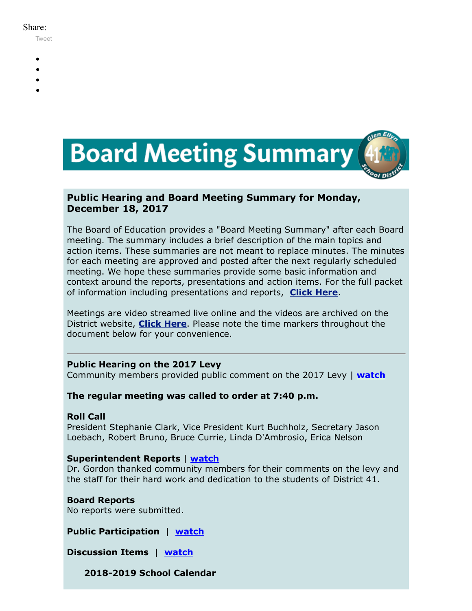#### Share:

[Tweet](https://twitter.com/intent/tweet?original_referer=https%3A%2F%2Fmyemail.constantcontact.com%2FBoard-Meeting-Summary-for-December-18--2017.html%3Fsoid%3D1102200973173%26aid%3D4jlTtXDInnI&ref_src=twsrc%5Etfw&text=Board%20Meeting%20Summary%20for%20December%2018%2C%202017&tw_p=tweetbutton&url=https%3A%2F%2Fmyemail.constantcontact.com%2FBoard-Meeting-Summary-for-December-18--2017.html%3Fsoid%3D1102200973173%26aid%3D4jlTtXDInnI)

- -
- 
- 
- 



## **Public Hearing and Board Meeting Summary for Monday, December 18, 2017**

The Board of Education provides a "Board Meeting Summary" after each Board meeting. The summary includes a brief description of the main topics and action items. These summaries are not meant to replace minutes. The minutes for each meeting are approved and posted after the next regularly scheduled meeting. We hope these summaries provide some basic information and context around the reports, presentations and action items. For the full packet of information including presentations and reports, **[Click Here](http://www.d41.org/domain/36)**.

Meetings are video streamed live online and the videos are archived on the District website, **[Click Here](http://www.d41.org/domain/463)**. Please note the time markers throughout the document below for your convenience.

## **Public Hearing on the 2017 Levy**

Community members provided public comment on the 2017 Levy | **[watch](https://youtu.be/ZaxW6JmBmOk?t=1m44s)**

## **The regular meeting was called to order at 7:40 p.m.**

## **Roll Call**

President Stephanie Clark, Vice President Kurt Buchholz, Secretary Jason Loebach, Robert Bruno, Bruce Currie, Linda D'Ambrosio, Erica Nelson

## **Superintendent Reports** | **[watch](https://youtu.be/ZaxW6JmBmOk?t=40m30s)**

Dr. Gordon thanked community members for their comments on the levy and the staff for their hard work and dedication to the students of District 41.

**Board Reports** No reports were submitted.

**Public Participation** | **[watch](https://youtu.be/ZaxW6JmBmOk?t=44m49s)**

**Discussion Items** | **[watch](https://youtu.be/ZaxW6JmBmOk?t=50m19s)**

**2018-2019 School Calendar**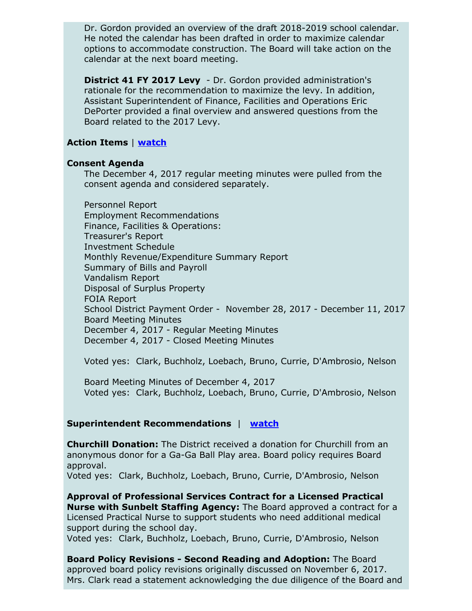Dr. Gordon provided an overview of the draft 2018-2019 school calendar. He noted the calendar has been drafted in order to maximize calendar options to accommodate construction. The Board will take action on the calendar at the next board meeting.

**District 41 FY 2017 Levy** - Dr. Gordon provided administration's rationale for the recommendation to maximize the levy. In addition, Assistant Superintendent of Finance, Facilities and Operations Eric DePorter provided a final overview and answered questions from the Board related to the 2017 Levy.

### **Action Items** | **[watch](https://youtu.be/ZaxW6JmBmOk?t=2h28m40s)**

#### **Consent Agenda**

The December 4, 2017 regular meeting minutes were pulled from the consent agenda and considered separately.

Personnel Report Employment Recommendations Finance, Facilities & Operations: Treasurer's Report Investment Schedule Monthly Revenue/Expenditure Summary Report Summary of Bills and Payroll Vandalism Report Disposal of Surplus Property FOIA Report School District Payment Order - November 28, 2017 - December 11, 2017 Board Meeting Minutes December 4, 2017 - Regular Meeting Minutes December 4, 2017 - Closed Meeting Minutes

Voted yes: Clark, Buchholz, Loebach, Bruno, Currie, D'Ambrosio, Nelson

Board Meeting Minutes of December 4, 2017 Voted yes: Clark, Buchholz, Loebach, Bruno, Currie, D'Ambrosio, Nelson

#### **Superintendent Recommendations** | **[watch](https://youtu.be/ZaxW6JmBmOk?t=2h32m08s)**

**Churchill Donation:** The District received a donation for Churchill from an anonymous donor for a Ga-Ga Ball Play area. Board policy requires Board approval.

Voted yes: Clark, Buchholz, Loebach, Bruno, Currie, D'Ambrosio, Nelson

**Approval of Professional Services Contract for a Licensed Practical Nurse with Sunbelt Staffing Agency:** The Board approved a contract for a Licensed Practical Nurse to support students who need additional medical support during the school day.

Voted yes: Clark, Buchholz, Loebach, Bruno, Currie, D'Ambrosio, Nelson

**Board Policy Revisions - Second Reading and Adoption:** The Board approved board policy revisions originally discussed on November 6, 2017. Mrs. Clark read a statement acknowledging the due diligence of the Board and